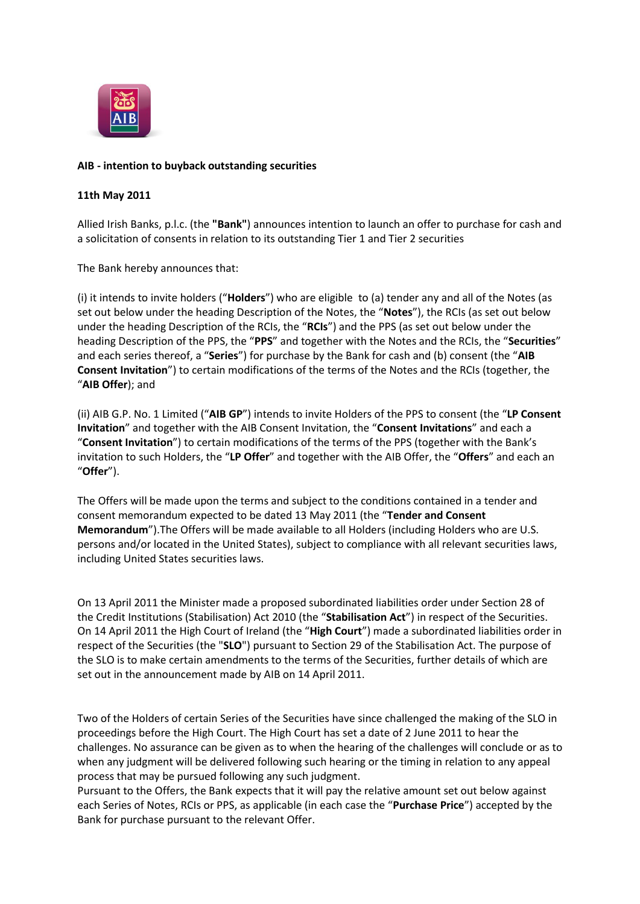

# **AIB - intention to buyback outstanding securities**

## **11th May 2011**

Allied Irish Banks, p.l.c. (the **"Bank"**) announces intention to launch an offer to purchase for cash and a solicitation of consents in relation to its outstanding Tier 1 and Tier 2 securities

The Bank hereby announces that:

(i) it intends to invite holders ("**Holders**") who are eligible to (a) tender any and all of the Notes (as set out below under the heading Description of the Notes, the "**Notes**"), the RCIs (as set out below under the heading Description of the RCIs, the "**RCIs**") and the PPS (as set out below under the heading Description of the PPS, the "**PPS**" and together with the Notes and the RCIs, the "**Securities**" and each series thereof, a "**Series**") for purchase by the Bank for cash and (b) consent (the "**AIB Consent Invitation**") to certain modifications of the terms of the Notes and the RCIs (together, the "**AIB Offer**); and

(ii) AIB G.P. No. 1 Limited ("**AIB GP**") intends to invite Holders of the PPS to consent (the "**LP Consent Invitation**" and together with the AIB Consent Invitation, the "**Consent Invitations**" and each a "**Consent Invitation**") to certain modifications of the terms of the PPS (together with the Bank's invitation to such Holders, the "**LP Offer**" and together with the AIB Offer, the "**Offers**" and each an "**Offer**").

The Offers will be made upon the terms and subject to the conditions contained in a tender and consent memorandum expected to be dated 13 May 2011 (the "**Tender and Consent Memorandum**").The Offers will be made available to all Holders (including Holders who are U.S. persons and/or located in the United States), subject to compliance with all relevant securities laws, including United States securities laws.

On 13 April 2011 the Minister made a proposed subordinated liabilities order under Section 28 of the Credit Institutions (Stabilisation) Act 2010 (the "**Stabilisation Act**") in respect of the Securities. On 14 April 2011 the High Court of Ireland (the "**High Court**") made a subordinated liabilities order in respect of the Securities (the "**SLO**") pursuant to Section 29 of the Stabilisation Act. The purpose of the SLO is to make certain amendments to the terms of the Securities, further details of which are set out in the announcement made by AIB on 14 April 2011.

Two of the Holders of certain Series of the Securities have since challenged the making of the SLO in proceedings before the High Court. The High Court has set a date of 2 June 2011 to hear the challenges. No assurance can be given as to when the hearing of the challenges will conclude or as to when any judgment will be delivered following such hearing or the timing in relation to any appeal process that may be pursued following any such judgment.

Pursuant to the Offers, the Bank expects that it will pay the relative amount set out below against each Series of Notes, RCIs or PPS, as applicable (in each case the "**Purchase Price**") accepted by the Bank for purchase pursuant to the relevant Offer.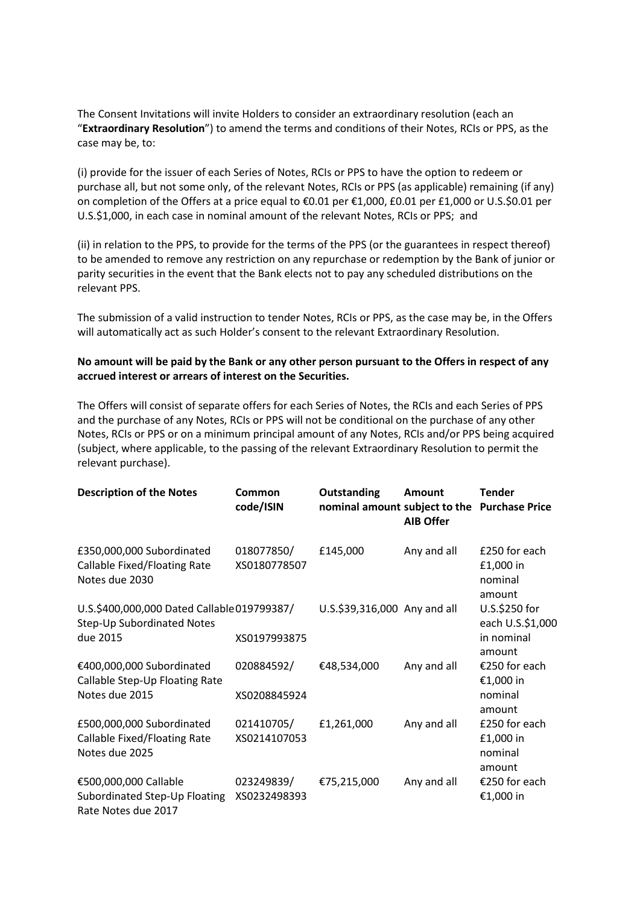The Consent Invitations will invite Holders to consider an extraordinary resolution (each an "**Extraordinary Resolution**") to amend the terms and conditions of their Notes, RCIs or PPS, as the case may be, to:

(i) provide for the issuer of each Series of Notes, RCIs or PPS to have the option to redeem or purchase all, but not some only, of the relevant Notes, RCIs or PPS (as applicable) remaining (if any) on completion of the Offers at a price equal to €0.01 per €1,000, £0.01 per £1,000 or U.S.\$0.01 per U.S.\$1,000, in each case in nominal amount of the relevant Notes, RCIs or PPS; and

(ii) in relation to the PPS, to provide for the terms of the PPS (or the guarantees in respect thereof) to be amended to remove any restriction on any repurchase or redemption by the Bank of junior or parity securities in the event that the Bank elects not to pay any scheduled distributions on the relevant PPS.

The submission of a valid instruction to tender Notes, RCIs or PPS, as the case may be, in the Offers will automatically act as such Holder's consent to the relevant Extraordinary Resolution.

# **No amount will be paid by the Bank or any other person pursuant to the Offers in respect of any accrued interest or arrears of interest on the Securities.**

The Offers will consist of separate offers for each Series of Notes, the RCIs and each Series of PPS and the purchase of any Notes, RCIs or PPS will not be conditional on the purchase of any other Notes, RCIs or PPS or on a minimum principal amount of any Notes, RCIs and/or PPS being acquired (subject, where applicable, to the passing of the relevant Extraordinary Resolution to permit the relevant purchase).

| <b>Description of the Notes</b>                                                              | Common<br>code/ISIN        | <b>Outstanding</b><br>nominal amount subject to the Purchase Price | <b>Amount</b><br><b>AIB Offer</b> | <b>Tender</b>                                             |
|----------------------------------------------------------------------------------------------|----------------------------|--------------------------------------------------------------------|-----------------------------------|-----------------------------------------------------------|
| £350,000,000 Subordinated<br>Callable Fixed/Floating Rate<br>Notes due 2030                  | 018077850/<br>XS0180778507 | £145,000                                                           | Any and all                       | £250 for each<br>£1,000 in<br>nominal<br>amount           |
| U.S.\$400,000,000 Dated Callable 019799387/<br><b>Step-Up Subordinated Notes</b><br>due 2015 | XS0197993875               | U.S.\$39,316,000 Any and all                                       |                                   | U.S.\$250 for<br>each U.S.\$1,000<br>in nominal<br>amount |
| €400,000,000 Subordinated<br>Callable Step-Up Floating Rate<br>Notes due 2015                | 020884592/<br>XS0208845924 | €48,534,000                                                        | Any and all                       | €250 for each<br>€1,000 in<br>nominal<br>amount           |
| £500,000,000 Subordinated<br>Callable Fixed/Floating Rate<br>Notes due 2025                  | 021410705/<br>XS0214107053 | £1,261,000                                                         | Any and all                       | £250 for each<br>£1,000 in<br>nominal<br>amount           |
| €500,000,000 Callable<br>Subordinated Step-Up Floating<br>Rate Notes due 2017                | 023249839/<br>XS0232498393 | €75,215,000                                                        | Any and all                       | €250 for each<br>€1,000 in                                |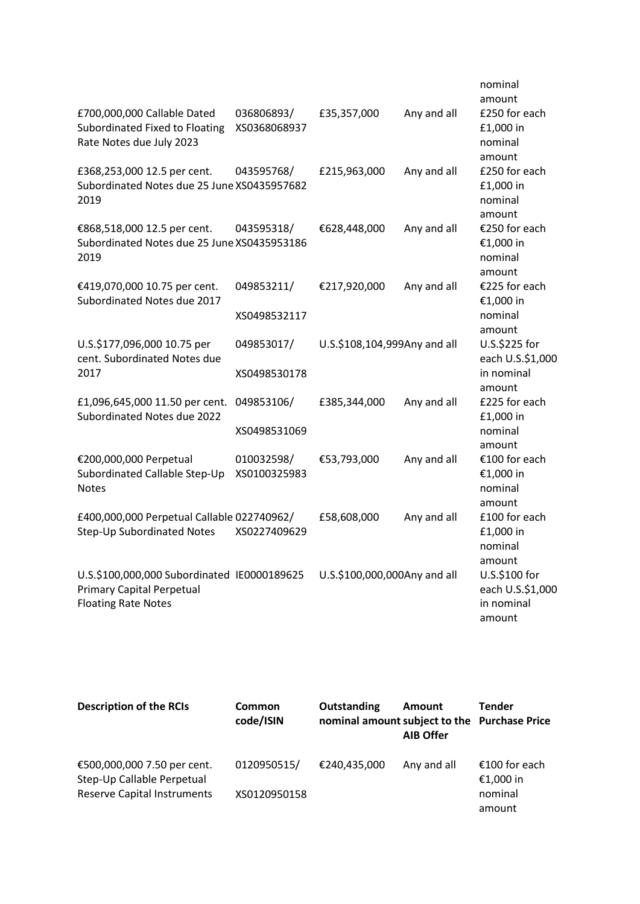|                                             |              |                              |             | nominal<br>amount |
|---------------------------------------------|--------------|------------------------------|-------------|-------------------|
| £700,000,000 Callable Dated                 | 036806893/   | £35,357,000                  | Any and all | £250 for each     |
| Subordinated Fixed to Floating              | XS0368068937 |                              |             | £1,000 in         |
| Rate Notes due July 2023                    |              |                              |             | nominal           |
|                                             |              |                              |             | amount            |
| £368,253,000 12.5 per cent.                 | 043595768/   | £215,963,000                 | Any and all | £250 for each     |
| Subordinated Notes due 25 June XS0435957682 |              |                              |             | £1,000 in         |
| 2019                                        |              |                              |             | nominal           |
|                                             |              |                              |             | amount            |
| €868,518,000 12.5 per cent.                 | 043595318/   | €628,448,000                 | Any and all | €250 for each     |
| Subordinated Notes due 25 June XS0435953186 |              |                              |             | €1,000 in         |
| 2019                                        |              |                              |             | nominal           |
|                                             |              |                              |             | amount            |
| €419,070,000 10.75 per cent.                | 049853211/   | €217,920,000                 | Any and all | €225 for each     |
| Subordinated Notes due 2017                 |              |                              |             | €1,000 in         |
|                                             | XS0498532117 |                              |             | nominal           |
|                                             |              |                              |             | amount            |
| U.S.\$177,096,000 10.75 per                 | 049853017/   | U.S.\$108,104,999Any and all |             | U.S.\$225 for     |
| cent. Subordinated Notes due                |              |                              |             | each U.S.\$1,000  |
| 2017                                        | XS0498530178 |                              |             | in nominal        |
|                                             |              |                              |             | amount            |
| £1,096,645,000 11.50 per cent.              | 049853106/   | £385,344,000                 | Any and all | £225 for each     |
| Subordinated Notes due 2022                 |              |                              |             | £1,000 in         |
|                                             | XS0498531069 |                              |             | nominal           |
|                                             |              |                              |             | amount            |
| €200,000,000 Perpetual                      | 010032598/   | €53,793,000                  | Any and all | €100 for each     |
| Subordinated Callable Step-Up               | XS0100325983 |                              |             | €1,000 in         |
| <b>Notes</b>                                |              |                              |             | nominal           |
|                                             |              |                              |             | amount            |
| £400,000,000 Perpetual Callable 022740962/  |              | £58,608,000                  | Any and all | £100 for each     |
| Step-Up Subordinated Notes                  | XS0227409629 |                              |             | £1,000 in         |
|                                             |              |                              |             | nominal           |
|                                             |              |                              |             | amount            |
| U.S.\$100,000,000 Subordinated IE0000189625 |              | U.S.\$100,000,000Any and all |             | U.S.\$100 for     |
| <b>Primary Capital Perpetual</b>            |              |                              |             | each U.S.\$1,000  |
| <b>Floating Rate Notes</b>                  |              |                              |             | in nominal        |
|                                             |              |                              |             | amount            |

| <b>Description of the RCIs</b>                            | Common<br>code/ISIN | Outstanding<br>nominal amount subject to the Purchase Price | <b>Amount</b><br><b>AIB Offer</b> | Tender  |
|-----------------------------------------------------------|---------------------|-------------------------------------------------------------|-----------------------------------|---------|
| €500,000,000 7.50 per cent.<br>Step-Up Callable Perpetual | 0120950515/         | €240,435,000<br>Any and all                                 | €100 for each<br>€1,000 in        |         |
| <b>Reserve Capital Instruments</b>                        | XS0120950158        |                                                             |                                   | nominal |
|                                                           |                     |                                                             |                                   | amount  |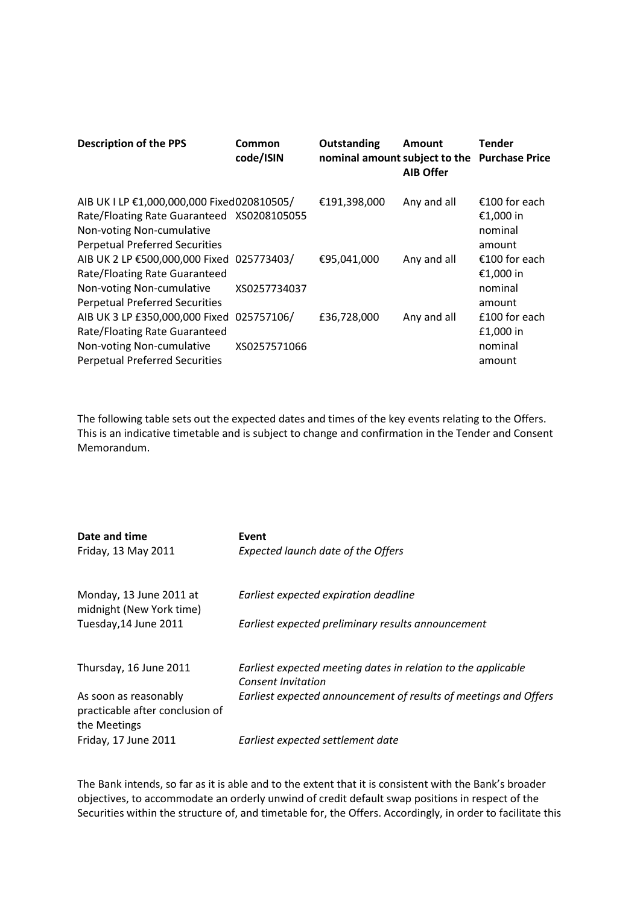| <b>Description of the PPS</b>                                                                                                                                  | Common<br>code/ISIN        | Outstanding<br>nominal amount subject to the Purchase Price | <b>Amount</b><br><b>AIB Offer</b> | Tender                                          |
|----------------------------------------------------------------------------------------------------------------------------------------------------------------|----------------------------|-------------------------------------------------------------|-----------------------------------|-------------------------------------------------|
| AIB UK I LP €1,000,000,000 Fixed020810505/<br>Rate/Floating Rate Guaranteed XS0208105055<br>Non-voting Non-cumulative<br><b>Perpetual Preferred Securities</b> |                            | €191,398,000                                                | Any and all                       | €100 for each<br>€1,000 in<br>nominal<br>amount |
| AIB UK 2 LP €500,000,000 Fixed 025773403/<br>Rate/Floating Rate Guaranteed<br>Non-voting Non-cumulative<br><b>Perpetual Preferred Securities</b>               | XS0257734037               | €95,041,000                                                 | Any and all                       | €100 for each<br>€1,000 in<br>nominal<br>amount |
| AIB UK 3 LP £350,000,000 Fixed<br>Rate/Floating Rate Guaranteed<br>Non-voting Non-cumulative<br><b>Perpetual Preferred Securities</b>                          | 025757106/<br>XS0257571066 | £36,728,000                                                 | Any and all                       | £100 for each<br>£1,000 in<br>nominal<br>amount |

The following table sets out the expected dates and times of the key events relating to the Offers. This is an indicative timetable and is subject to change and confirmation in the Tender and Consent Memorandum.

| Date and time                                                            | Event                                                                                      |
|--------------------------------------------------------------------------|--------------------------------------------------------------------------------------------|
| Friday, 13 May 2011                                                      | <b>Expected launch date of the Offers</b>                                                  |
| Monday, 13 June 2011 at<br>midnight (New York time)                      | Earliest expected expiration deadline                                                      |
| Tuesday, 14 June 2011                                                    | Earliest expected preliminary results announcement                                         |
| Thursday, 16 June 2011                                                   | Earliest expected meeting dates in relation to the applicable<br><b>Consent Invitation</b> |
| As soon as reasonably<br>practicable after conclusion of<br>the Meetings | Earliest expected announcement of results of meetings and Offers                           |
| Friday, 17 June 2011                                                     | Earliest expected settlement date                                                          |

The Bank intends, so far as it is able and to the extent that it is consistent with the Bank's broader objectives, to accommodate an orderly unwind of credit default swap positions in respect of the Securities within the structure of, and timetable for, the Offers. Accordingly, in order to facilitate this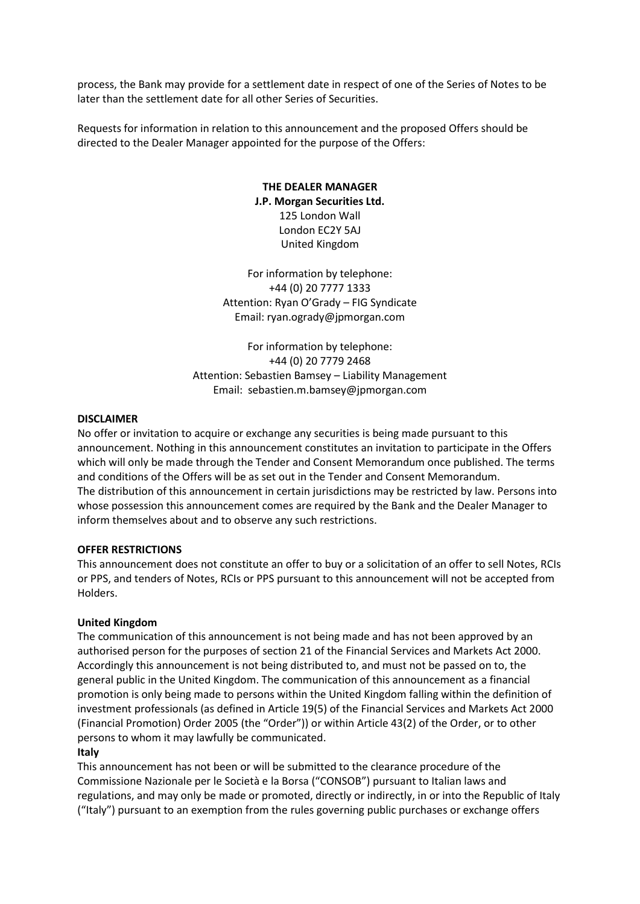process, the Bank may provide for a settlement date in respect of one of the Series of Notes to be later than the settlement date for all other Series of Securities.

Requests for information in relation to this announcement and the proposed Offers should be directed to the Dealer Manager appointed for the purpose of the Offers:

# **THE DEALER MANAGER J.P. Morgan Securities Ltd.** 125 London Wall London EC2Y 5AJ United Kingdom

For information by telephone: +44 (0) 20 7777 1333 Attention: Ryan O'Grady – FIG Syndicate Email: ryan.ogrady@jpmorgan.com

For information by telephone: +44 (0) 20 7779 2468 Attention: Sebastien Bamsey – Liability Management Email: sebastien.m.bamsey@jpmorgan.com

## **DISCLAIMER**

No offer or invitation to acquire or exchange any securities is being made pursuant to this announcement. Nothing in this announcement constitutes an invitation to participate in the Offers which will only be made through the Tender and Consent Memorandum once published. The terms and conditions of the Offers will be as set out in the Tender and Consent Memorandum. The distribution of this announcement in certain jurisdictions may be restricted by law. Persons into whose possession this announcement comes are required by the Bank and the Dealer Manager to inform themselves about and to observe any such restrictions.

#### **OFFER RESTRICTIONS**

This announcement does not constitute an offer to buy or a solicitation of an offer to sell Notes, RCIs or PPS, and tenders of Notes, RCIs or PPS pursuant to this announcement will not be accepted from Holders.

## **United Kingdom**

The communication of this announcement is not being made and has not been approved by an authorised person for the purposes of section 21 of the Financial Services and Markets Act 2000. Accordingly this announcement is not being distributed to, and must not be passed on to, the general public in the United Kingdom. The communication of this announcement as a financial promotion is only being made to persons within the United Kingdom falling within the definition of investment professionals (as defined in Article 19(5) of the Financial Services and Markets Act 2000 (Financial Promotion) Order 2005 (the "Order")) or within Article 43(2) of the Order, or to other persons to whom it may lawfully be communicated.

## **Italy**

This announcement has not been or will be submitted to the clearance procedure of the Commissione Nazionale per le Società e la Borsa ("CONSOB") pursuant to Italian laws and regulations, and may only be made or promoted, directly or indirectly, in or into the Republic of Italy ("Italy") pursuant to an exemption from the rules governing public purchases or exchange offers